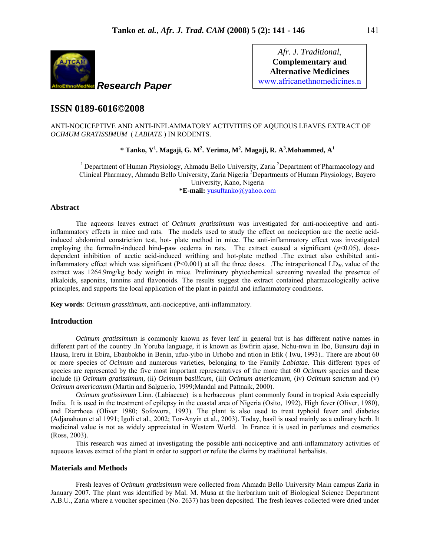

*Afr. J. Traditional*, **Complementary and Alternative Medicines** www.africanethnomedicines.n

# **ISSN 0189-6016©2008**

ANTI-NOCICEPTIVE AND ANTI-INFLAMMATORY ACTIVITIES OF AQUEOUS LEAVES EXTRACT OF *OCIMUM GRATISSIMUM* ( *LABIATE* ) IN RODENTS.

**\* Tanko, Y<sup>1</sup> . Magaji, G. M<sup>2</sup> . Yerima, M<sup>2</sup> . Magaji, R. A3 .Mohammed, A<sup>1</sup>**

<sup>1</sup> Department of Human Physiology, Ahmadu Bello University, Zaria <sup>2</sup>Department of Pharmacology and Clinical Pharmacy, Ahmadu Bello University, Zaria Nigeria<sup>3</sup> Departments of Human Physiology, Bayero University, Kano, Nigeria **\*E-mail:** yusuftanko@yahoo.com

## **Abstract**

The aqueous leaves extract of *Ocimum gratissimum* was investigated for anti-nociceptive and antiinflammatory effects in mice and rats. The models used to study the effect on nociception are the acetic acidinduced abdominal constriction test, hot- plate method in mice. The anti-inflammatory effect was investigated employing the formalin-induced hind–paw oedema in rats. The extract caused a significant (*p*<0.05), dosedependent inhibition of acetic acid-induced writhing and hot-plate method .The extract also exhibited antiinflammatory effect which was significant (P<0.001) at all the three doses. .The intraperitoneal LD<sub>50</sub> value of the extract was 1264.9mg/kg body weight in mice. Preliminary phytochemical screening revealed the presence of alkaloids, saponins, tannins and flavonoids. The results suggest the extract contained pharmacologically active principles, and supports the local application of the plant in painful and inflammatory conditions.

**Key words**: *Ocimum grassitimum,* anti-nociceptive, anti-inflammatory.

## **Introduction**

*Ocimum gratissimum* is commonly known as fever leaf in general but is has different native names in different part of the country .In Yoruba language, it is known as Ewfirin ajase, Nchu-nwu in Ibo, Bunsuru daji in Hausa, Ireru in Ebira, Ebaubokho in Benin, ufuo-yibo in Urhobo and ntion in Efik ( Iwu, 1993).. There are about 60 or more species of *Ocimum* and numerous varieties, belonging to the Family *Labiatae.* This different types of species are represented by the five most important representatives of the more that 60 *Ocimum* species and these include (i) *Ocimum gratissimum,* (ii) *Ocimum basilicum,* (iii) *Ocimum americanum,* (iv) *Ocimum sanctum* and (v) *Ocimum americanum*.(Martin and Salguerio, 1999;Mandal and Pattnaik, 2000).

*Ocimum gratissimum* Linn. (Labiaceae) is a herbaceous plant commonly found in tropical Asia especially India. It is used in the treatment of epilepsy in the coastal area of Nigeria (Osito, 1992), High fever (Oliver, 1980), and Diarrhoea (Oliver 1980; Sofowora, 1993). The plant is also used to treat typhoid fever and diabetes (Adjanahoun et al 1991; Igoli et al., 2002; Tor-Anyin et al., 2003). Today, basil is used mainly as a culinary herb. It medicinal value is not as widely appreciated in Western World. In France it is used in perfumes and cosmetics (Ross, 2003).

This research was aimed at investigating the possible anti-nociceptive and anti-inflammatory activities of aqueous leaves extract of the plant in order to support or refute the claims by traditional herbalists.

#### **Materials and Methods**

Fresh leaves of *Ocimum gratissimum* were collected from Ahmadu Bello University Main campus Zaria in January 2007. The plant was identified by Mal. M. Musa at the herbarium unit of Biological Science Department A.B.U., Zaria where a voucher specimen (No. 2637) has been deposited. The fresh leaves collected were dried under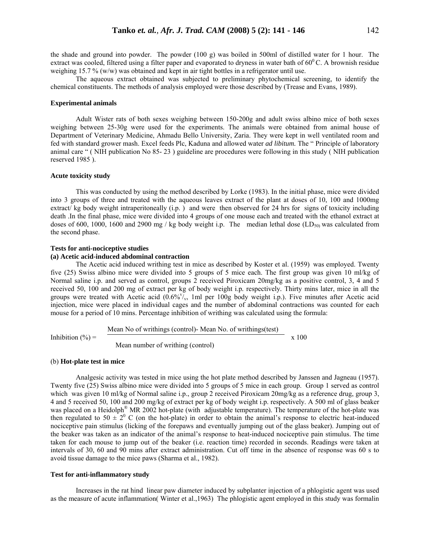the shade and ground into powder. The powder (100 g) was boiled in 500ml of distilled water for 1 hour. The extract was cooled, filtered using a filter paper and evaporated to dryness in water bath of  $60^{\circ}$ C. A brownish residue weighing 15.7 % (w/w) was obtained and kept in air tight bottles in a refrigerator until use.

The aqueous extract obtained was subjected to preliminary phytochemical screening, to identify the chemical constituents. The methods of analysis employed were those described by (Trease and Evans, 1989).

#### **Experimental animals**

Adult Wister rats of both sexes weighing between 150-200g and adult swiss albino mice of both sexes weighing between 25-30g were used for the experiments. The animals were obtained from animal house of Department of Veterinary Medicine, Ahmadu Bello University, Zaria. They were kept in well ventilated room and fed with standard grower mash. Excel feeds Plc, Kaduna and allowed water *ad libitum.* The " Principle of laboratory animal care " ( NIH publication No 85- 23 ) guideline are procedures were following in this study ( NIH publication reserved 1985 ).

#### **Acute toxicity study**

This was conducted by using the method described by Lorke (1983). In the initial phase, mice were divided into 3 groups of three and treated with the aqueous leaves extract of the plant at doses of 10, 100 and 1000mg extract/ kg body weight intraperitoneally (i.p. ) and were then observed for 24 hrs for signs of toxicity including death .In the final phase, mice were divided into 4 groups of one mouse each and treated with the ethanol extract at doses of 600, 1000, 1600 and 2900 mg / kg body weight i.p. The median lethal dose ( $LD<sub>50</sub>$ ) was calculated from the second phase.

#### **Tests for anti-nociceptive studies**

## **(a) Acetic acid-induced abdominal contraction**

The Acetic acid induced writhing test in mice as described by Koster et al. (1959) was employed. Twenty five (25) Swiss albino mice were divided into 5 groups of 5 mice each. The first group was given 10 ml/kg of Normal saline i.p. and served as control, groups 2 received Piroxicam 20mg/kg as a positive control, 3, 4 and 5 received 50, 100 and 200 mg of extract per kg of body weight i.p*.* respectively*.* Thirty mins later, mice in all the groups were treated with Acetic acid  $(0.6\%$ <sup>V</sup><sub>v</sub>, 1ml per 100g body weight i.p.). Five minutes after Acetic acid injection, mice were placed in individual cages and the number of abdominal contractions was counted for each mouse for a period of 10 mins. Percentage inhibition of writhing was calculated using the formula:

Inhibition (
$$
\degree
$$
) =   
 Mean No of writings (control)- Mean No. of writhings(test) x 100

Mean number of writhing (control)

## (b) **Hot-plate test in mice**

Analgesic activity was tested in mice using the hot plate method described by Janssen and Jagneau (1957). Twenty five (25) Swiss albino mice were divided into 5 groups of 5 mice in each group. Group 1 served as control which was given 10 ml/kg of Normal saline i.p., group 2 received Piroxicam 20mg/kg as a reference drug, group 3, 4 and 5 received 50, 100 and 200 mg/kg of extract per kg of body weight i.p. respectively. A 500 ml of glass beaker was placed on a Heidolph<sup>®</sup> MR 2002 hot-plate (with adjustable temperature). The temperature of the hot-plate was then regulated to  $50 \pm 2^{0}$  C (on the hot-plate) in order to obtain the animal's response to electric heat-induced nociceptive pain stimulus (licking of the forepaws and eventually jumping out of the glass beaker). Jumping out of the beaker was taken as an indicator of the animal's response to heat-induced nociceptive pain stimulus. The time taken for each mouse to jump out of the beaker (i.e. reaction time) recorded in seconds. Readings were taken at intervals of 30, 60 and 90 mins after extract administration. Cut off time in the absence of response was 60 s to avoid tissue damage to the mice paws (Sharma et al., 1982).

## **Test for anti-inflammatory study**

Increases in the rat hind linear paw diameter induced by subplanter injection of a phlogistic agent was used as the measure of acute inflammation( Winter et al.,1963) The phlogistic agent employed in this study was formalin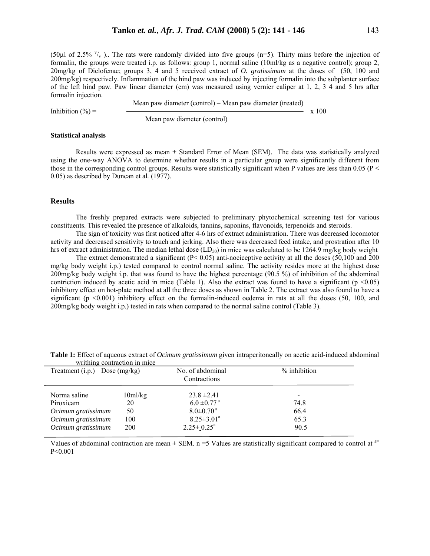(50 $\mu$ l of 2.5%  $v/v$ ).. The rats were randomly divided into five groups (n=5). Thirty mins before the injection of formalin, the groups were treated i.p. as follows: group 1, normal saline (10ml/kg as a negative control); group 2, 20mg/kg of Diclofenac; groups 3, 4 and 5 received extract of *O. gratissimum* at the doses of (50, 100 and 200mg/kg) respectively. Inflammation of the hind paw was induced by injecting formalin into the subplanter surface of the left hind paw. Paw linear diameter (cm) was measured using vernier caliper at 1, 2, 3 4 and 5 hrs after formalin injection.

 Mean paw diameter (control) – Mean paw diameter (treated) Inhibition  $\left(\frac{\theta}{0}\right)$  =  $\qquad \qquad$   $\qquad \qquad$   $\qquad \qquad$   $\qquad \qquad$   $\qquad \qquad$   $\qquad \qquad$   $\qquad \qquad$   $\qquad \qquad$   $\qquad \qquad$   $\qquad \qquad$   $\qquad \qquad$   $\qquad \qquad$   $\qquad \qquad$   $\qquad \qquad$   $\qquad \qquad$   $\qquad \qquad$   $\qquad \qquad$   $\qquad \qquad$   $\qquad \qquad$   $\qquad \qquad$   $\qquad \qquad \qquad$   $\$ 

Mean paw diameter (control)

## **Statistical analysis**

Results were expressed as mean  $\pm$  Standard Error of Mean (SEM). The data was statistically analyzed using the one-way ANOVA to determine whether results in a particular group were significantly different from those in the corresponding control groups. Results were statistically significant when P values are less than  $0.05$  (P  $\leq$ 0.05) as described by Duncan et al*.* (1977).

# **Results**

The freshly prepared extracts were subjected to preliminary phytochemical screening test for various constituents. This revealed the presence of alkaloids, tannins, saponins, flavonoids, terpenoids and steroids.

The sign of toxicity was first noticed after 4-6 hrs of extract administration. There was decreased locomotor activity and decreased sensitivity to touch and jerking. Also there was decreased feed intake, and prostration after 10 hrs of extract administration. The median lethal dose  $(LD_{50})$  in mice was calculated to be 1264.9 mg/kg body weight

The extract demonstrated a significant (P< 0.05) anti-nociceptive activity at all the doses (50,100 and 200 mg/kg body weight i.p.) tested compared to control normal saline. The activity resides more at the highest dose 200mg/kg body weight i.p. that was found to have the highest percentage (90.5 %) of inhibition of the abdominal contriction induced by acetic acid in mice (Table 1). Also the extract was found to have a significant ( $p \le 0.05$ ) inhibitory effect on hot-plate method at all the three doses as shown in Table 2. The extract was also found to have a significant (p <0.001) inhibitory effect on the formalin-induced oedema in rats at all the doses (50, 100, and 200mg/kg body weight i.p.) tested in rats when compared to the normal saline control (Table 3).

| Treatment $(i.p.)$ Dose $(mg/kg)$ |         | No. of abdominal<br>Contractions | $%$ inhibition |  |
|-----------------------------------|---------|----------------------------------|----------------|--|
| Norma saline                      | 10ml/kg | $23.8 \pm 2.41$                  | -              |  |
| Piroxicam                         | 20      | $6.0 \pm 0.77$ <sup>a</sup>      | 74.8           |  |
| Ocimum gratissimum                | 50      | $8.0 \pm 0.70$ <sup>a</sup>      | 66.4           |  |
| Ocimum gratissimum                | 100     | $8.25 \pm 3.01^a$                | 65.3           |  |
| Ocimum gratissimum                | 200     | $2.25 \pm 0.25^a$                | 90.5           |  |

| Table 1: Effect of aqueous extract of Ocimum gratissimum given intraperitoneally on acetic acid-induced abdominal |  |
|-------------------------------------------------------------------------------------------------------------------|--|
| writhing contraction in mice                                                                                      |  |

Values of abdominal contraction are mean  $\pm$  SEM. n =5 Values are statistically significant compared to control at  $a$ <sup>=</sup> P<0.001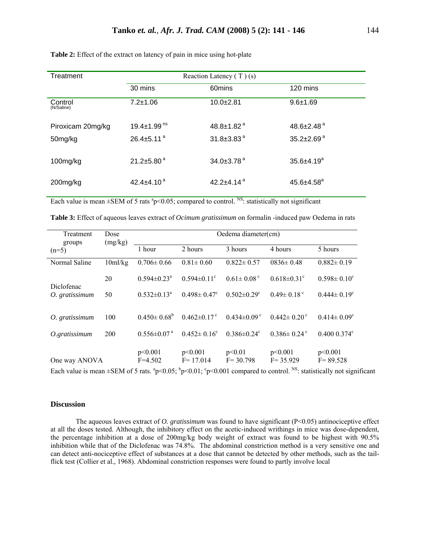| Treatment             | Reaction Latency $(T)(s)$     |                              |                        |  |  |
|-----------------------|-------------------------------|------------------------------|------------------------|--|--|
|                       | 30 mins                       | 60mins                       | $120 \text{ mins}$     |  |  |
| Control<br>(N/Saline) | $7.2 + 1.06$                  | $10.0 + 2.81$                | $9.6 + 1.69$           |  |  |
| Piroxicam 20mg/kg     | 19.4 $\pm$ 1.99 <sup>ns</sup> | 48.8 $\pm$ 1.82 $^{a}$       | 48.6 $\pm$ 2.48 $^{a}$ |  |  |
| 50mg/kg               | $26.4 \pm 5.11$ <sup>a</sup>  | $31.8 \pm 3.83$ <sup>a</sup> | 35.2 $\pm$ 2.69 $^{a}$ |  |  |
| $100$ mg/kg           | $21.2 \pm 5.80$ <sup>a</sup>  | 34.0 $\pm$ 3.78 $^{a}$       | $35.6 + 4.19^a$        |  |  |
| 200mg/kg              | $42.4 \pm 4.10^{\text{a}}$    | $42.2 + 4.14$ <sup>a</sup>   | $45.6{\pm}4.58^a$      |  |  |

**Table 2:** Effect of the extract on latency of pain in mice using hot-plate

Each value is mean  $\pm$ SEM of 5 rats  ${}^{a}p$ <0.05; compared to control. <sup>NS</sup>: statistically not significant

| <b>Table 3:</b> Effect of aqueous leaves extract of <i>Ocimum gratissimum</i> on formalin -induced paw Oedema in rats |  |  |  |  |
|-----------------------------------------------------------------------------------------------------------------------|--|--|--|--|

| Treatment                                                                                                                                               | Dose    | Oedema diameter(cm)           |                               |                               |                               |                               |  |
|---------------------------------------------------------------------------------------------------------------------------------------------------------|---------|-------------------------------|-------------------------------|-------------------------------|-------------------------------|-------------------------------|--|
| groups<br>$(n=5)$                                                                                                                                       | (mg/kg) | 1 hour                        | 2 hours                       | 3 hours                       | 4 hours                       | 5 hours                       |  |
| Normal Saline                                                                                                                                           | 10ml/kg | $0.706 \pm 0.66$              | $0.81 \pm 0.60$               | $0.822 \pm 0.57$              | $0836 \pm 0.48$               | $0.882 \pm 0.19$              |  |
| Diclofenac                                                                                                                                              | 20      | $0.594 \pm 0.23$ <sup>a</sup> | $0.594 \pm 0.11$ °            | $0.61 \pm 0.08$ <sup>c</sup>  | $0.618 \pm 0.31$ <sup>c</sup> | $0.598 \pm 0.10^c$            |  |
| O. gratissimum                                                                                                                                          | 50      | $0.532 \pm 0.13^a$            | $0.498 \pm 0.47$ °            | $0.502 \pm 0.29$ <sup>c</sup> | $0.49 \pm 0.18$ <sup>c</sup>  | $0.444 \pm 0.19$ <sup>c</sup> |  |
| O. gratissimum                                                                                                                                          | 100     | $0.450 \pm 0.68^b$            | $0.462 \pm 0.17$ <sup>c</sup> | $0.434\pm0.09^{\circ}$        | $0.442 \pm 0.20$ °            | $0.414 \pm 0.09$ <sup>c</sup> |  |
| O.gratissimum                                                                                                                                           | 200     | $0.556 \pm 0.07$ <sup>a</sup> | $0.452 \pm 0.16^{\circ}$      | $0.386 \pm 0.24$ <sup>c</sup> | $0.386 \pm 0.24$ °            | $0.400~0.374^{\circ}$         |  |
| One way ANOVA                                                                                                                                           |         | p<0.001<br>$F=4.502$          | p<0.001<br>$F = 17.014$       | p<0.01<br>$F = 30.798$        | p<0.001<br>$F = 35.929$       | p<0.001<br>$F = 89.528$       |  |
| Each value is mean $\pm$ SEM of 5 rats. $^{a}p$ <0.05; $^{b}p$ <0.01; $^{c}p$ <0.001 compared to control. <sup>NS</sup> : statistically not significant |         |                               |                               |                               |                               |                               |  |

# **Discussion**

The aqueous leaves extract of *O. gratissimum* was found to have significant (P<0.05) antinociceptive effect at all the doses tested. Although, the inhibitory effect on the acetic-induced writhings in mice was dose-dependent, the percentage inhibition at a dose of 200mg/kg body weight of extract was found to be highest with 90.5% inhibition while that of the Diclofenac was 74.8%. The abdominal constriction method is a very sensitive one and can detect anti-nociceptive effect of substances at a dose that cannot be detected by other methods, such as the tailflick test (Collier et al.*,* 1968). Abdominal constriction responses were found to partly involve local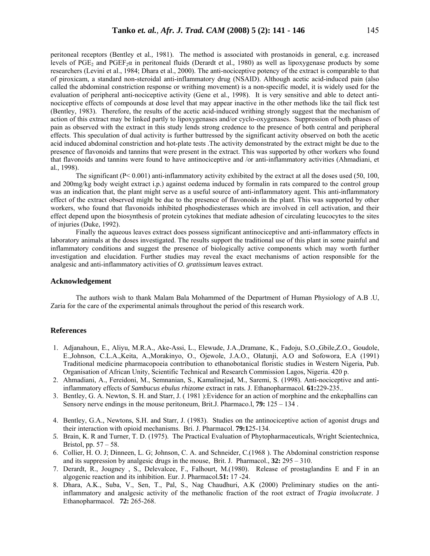peritoneal receptors (Bentley et al*.,* 1981). The method is associated with prostanoids in general, e.g. increased levels of PGE<sub>2</sub> and PGEF<sub>2</sub> $\alpha$  in peritoneal fluids (Derardt et al., 1980) as well as lipoxygenase products by some researchers (Levini et al., 1984; Dhara et al., 2000). The anti-nociceptive potency of the extract is comparable to that of piroxicam, a standard non-steroidal anti-inflammatory drug (NSAID). Although acetic acid-induced pain (also called the abdominal constriction response or writhing movement) is a non-specific model, it is widely used for the evaluation of peripheral anti-nociceptive activity (Gene et al.*,* 1998). It is very sensitive and able to detect antinociceptive effects of compounds at dose level that may appear inactive in the other methods like the tail flick test (Bentley, 1983). Therefore, the results of the acetic acid-induced writhing strongly suggest that the mechanism of action of this extract may be linked partly to lipoxygenases and/or cyclo-oxygenases. Suppression of both phases of pain as observed with the extract in this study lends strong credence to the presence of both central and peripheral effects. This speculation of dual activity is further buttressed by the significant activity observed on both the acetic acid induced abdominal constriction and hot-plate tests .The activity demonstrated by the extract might be due to the presence of flavonoids and tannins that were present in the extract. This was supported by other workers who found that flavonoids and tannins were found to have antinociceptive and /or anti-inflammatory activities (Ahmadiani, et al*.*, 1998).

The significant (P< 0.001) anti-inflammatory activity exhibited by the extract at all the doses used (50, 100, and 200mg/kg body weight extract i.p.) against oedema induced by formalin in rats compared to the control group was an indication that, the plant might serve as a useful source of anti-inflammatory agent. This anti-inflammatory effect of the extract observed might be due to the presence of flavonoids in the plant. This was supported by other workers, who found that flavonoids inhibited phosphodiesterases which are involved in cell activation, and their effect depend upon the biosynthesis of protein cytokines that mediate adhesion of circulating leucocytes to the sites of injuries (Duke, 1992).

Finally the aqueous leaves extract does possess significant antinociceptive and anti-inflammatory effects in laboratory animals at the doses investigated. The results support the traditional use of this plant in some painful and inflammatory conditions and suggest the presence of biologically active components which may worth further investigation and elucidation. Further studies may reveal the exact mechanisms of action responsible for the analgesic and anti-inflammatory activities of *O. gratissimum* leaves extract.

## **Acknowledgement**

The authors wish to thank Malam Bala Mohammed of the Department of Human Physiology of A.B .U, Zaria for the care of the experimental animals throughout the period of this research work.

## **References**

- 1. Adjanahoun, E., Aliyu, M.R.A., Ake-Assi, L., Elewude, J.A.,Dramane, K., Fadoju, S.O.,Gbile,Z.O., Goudole, E.,Johnson, C.L.A.,Keita, A.,Morakinyo, O., Ojewole, J.A.O., Olatunji, A.O and Sofowora, E.A (1991) Traditional medicine pharmacopoeia contribution to ethanobotanical floristic studies in Western Nigeria, Pub. Organisation of African Unity, Scientific Technical and Research Commission Lagos, Nigeria. 420 p.
- 2. Ahmadiani, A., Fereidoni, M., Semnanian, S., Kamalinejad, M., Saremi, S. (1998). Anti-nociceptive and antiinflammatory effects of *Sambucus ebulus rhizome* extract in rats*.* J. Ethanopharmacol*.* **61:**229-235..
- 3. Bentley, G. A. Newton, S. H. and Starr, J. ( 1981 ):Evidence for an action of morphine and the enkephallins can Sensory nerve endings in the mouse peritoneum, Brit.J. Pharmaco.l, **79:** 125 – 134 .
- 4. Bentley, G.A., Newtons, S.H. and Starr, J. (1983). Studies on the antinociceptive action of agonist drugs and their interaction with opioid mechanisms. Bri. J. Pharmacol. **79:1**25-134.
- *5.* Brain, K. R and Turner, T. D. (1975). The Practical Evaluation of Phytopharmaceuticals, Wright Scientechnica, Bristol, pp. 57 – 58.
- 6. Collier, H. O. J; Dinneen, L. G; Johnson, C. A. and Schneider, C.(1968 ). The Abdominal constriction response and its suppression by analgesic drugs in the mouse, Brit. J. Pharmacol., **32:** 295 – 310.
- 7. Derardt, R., Jougney , S., Delevalcee, F., Falhourt, M.(1980). Release of prostaglandins E and F in an algogenic reaction and its inhibition. Eur. J. Pharmacol*.***51:** 17 -24.
- 8. Dhara, A.K., Suba, V., Sen, T., Pal, S., Nag Chaudhuri, A.K (2000) Preliminary studies on the antiinflammatory and analgesic activity of the methanolic fraction of the root extract of *Tragia involucrate*. J Ethanopharmacol. **72:** 265-268.